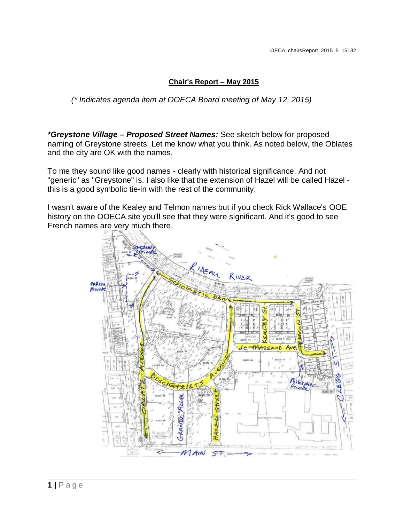## **Chair's Report – May 2015**

*(\* Indicates agenda item at OOECA Board meeting of May 12, 2015)*

*\*Greystone Village – Proposed Street Names:* See sketch below for proposed naming of Greystone streets. Let me know what you think. As noted below, the Oblates and the city are OK with the names.

To me they sound like good names - clearly with historical significance. And not "generic" as "Greystone" is. I also like that the extension of Hazel will be called Hazel this is a good symbolic tie-in with the rest of the community.

I wasn't aware of the Kealey and Telmon names but if you check Rick Wallace's OOE history on the OOECA site you'll see that they were significant. And it's good to see French names are very much there.

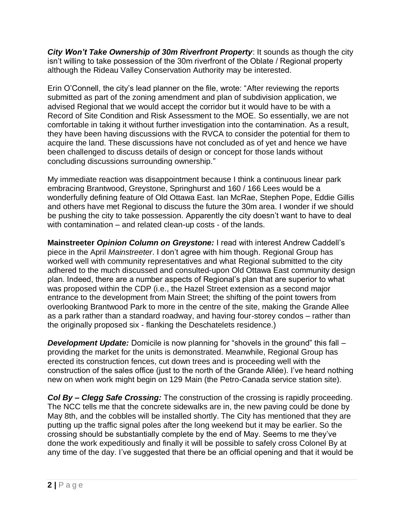*City Won't Take Ownership of 30m Riverfront Property*: It sounds as though the city isn't willing to take possession of the 30m riverfront of the Oblate / Regional property although the Rideau Valley Conservation Authority may be interested.

Erin O'Connell, the city's lead planner on the file, wrote: "After reviewing the reports submitted as part of the zoning amendment and plan of subdivision application, we advised Regional that we would accept the corridor but it would have to be with a Record of Site Condition and Risk Assessment to the MOE. So essentially, we are not comfortable in taking it without further investigation into the contamination. As a result, they have been having discussions with the RVCA to consider the potential for them to acquire the land. These discussions have not concluded as of yet and hence we have been challenged to discuss details of design or concept for those lands without concluding discussions surrounding ownership."

My immediate reaction was disappointment because I think a continuous linear park embracing Brantwood, Greystone, Springhurst and 160 / 166 Lees would be a wonderfully defining feature of Old Ottawa East. Ian McRae, Stephen Pope, Eddie Gillis and others have met Regional to discuss the future the 30m area. I wonder if we should be pushing the city to take possession. Apparently the city doesn't want to have to deal with contamination – and related clean-up costs - of the lands.

**Mainstreeter** *Opinion Column on Greystone:* I read with interest Andrew Caddell's piece in the April *Mainstreeter*. I don't agree with him though. Regional Group has worked well with community representatives and what Regional submitted to the city adhered to the much discussed and consulted-upon Old Ottawa East community design plan. Indeed, there are a number aspects of Regional's plan that are superior to what was proposed within the CDP (i.e., the Hazel Street extension as a second major entrance to the development from Main Street; the shifting of the point towers from overlooking Brantwood Park to more in the centre of the site, making the Grande Allee as a park rather than a standard roadway, and having four-storey condos – rather than the originally proposed six - flanking the Deschatelets residence.)

*Development Update:* Domicile is now planning for "shovels in the ground" this fall – providing the market for the units is demonstrated. Meanwhile, Regional Group has erected its construction fences, cut down trees and is proceeding well with the construction of the sales office (just to the north of the Grande Allée). I've heard nothing new on when work might begin on 129 Main (the Petro-Canada service station site).

*Col By – Clegg Safe Crossing:* The construction of the crossing is rapidly proceeding. The NCC tells me that the concrete sidewalks are in, the new paving could be done by May 8th, and the cobbles will be installed shortly. The City has mentioned that they are putting up the traffic signal poles after the long weekend but it may be earlier. So the crossing should be substantially complete by the end of May. Seems to me they've done the work expeditiously and finally it will be possible to safely cross Colonel By at any time of the day. I've suggested that there be an official opening and that it would be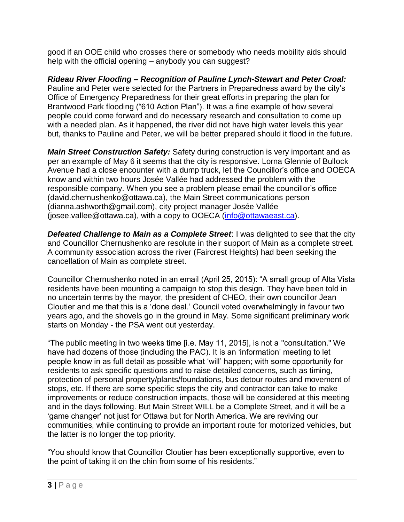good if an OOE child who crosses there or somebody who needs mobility aids should help with the official opening – anybody you can suggest?

*Rideau River Flooding – Recognition of Pauline Lynch-Stewart and Peter Croal:*  Pauline and Peter were selected for the Partners in Preparedness award by the city's Office of Emergency Preparedness for their great efforts in preparing the plan for Brantwood Park flooding ("610 Action Plan"). It was a fine example of how several people could come forward and do necessary research and consultation to come up with a needed plan. As it happened, the river did not have high water levels this year but, thanks to Pauline and Peter, we will be better prepared should it flood in the future.

*Main Street Construction Safety:* Safety during construction is very important and as per an example of May 6 it seems that the city is responsive. Lorna Glennie of Bullock Avenue had a close encounter with a dump truck, let the Councillor's office and OOECA know and within two hours Josée Vallée had addressed the problem with the responsible company. When you see a problem please email the councillor's office (david.chernushenko@ottawa.ca), the Main Street communications person (dianna.ashworth@gmail.com), city project manager Josée Vallée (josee.vallee@ottawa.ca), with a copy to OOECA [\(info@ottawaeast.ca\)](mailto:info@ottawaeast.ca).

**Defeated Challenge to Main as a Complete Street:** I was delighted to see that the city and Councillor Chernushenko are resolute in their support of Main as a complete street. A community association across the river (Faircrest Heights) had been seeking the cancellation of Main as complete street.

Councillor Chernushenko noted in an email (April 25, 2015): "A small group of Alta Vista residents have been mounting a campaign to stop this design. They have been told in no uncertain terms by the mayor, the president of CHEO, their own councillor Jean Cloutier and me that this is a 'done deal.' Council voted overwhelmingly in favour two years ago, and the shovels go in the ground in May. Some significant preliminary work starts on Monday - the PSA went out yesterday.

"The public meeting in two weeks time [i.e. May 11, 2015], is not a "consultation." We have had dozens of those (including the PAC). It is an 'information' meeting to let people know in as full detail as possible what 'will' happen; with some opportunity for residents to ask specific questions and to raise detailed concerns, such as timing, protection of personal property/plants/foundations, bus detour routes and movement of stops, etc. If there are some specific steps the city and contractor can take to make improvements or reduce construction impacts, those will be considered at this meeting and in the days following. But Main Street WILL be a Complete Street, and it will be a 'game changer' not just for Ottawa but for North America. We are reviving our communities, while continuing to provide an important route for motorized vehicles, but the latter is no longer the top priority.

"You should know that Councillor Cloutier has been exceptionally supportive, even to the point of taking it on the chin from some of his residents."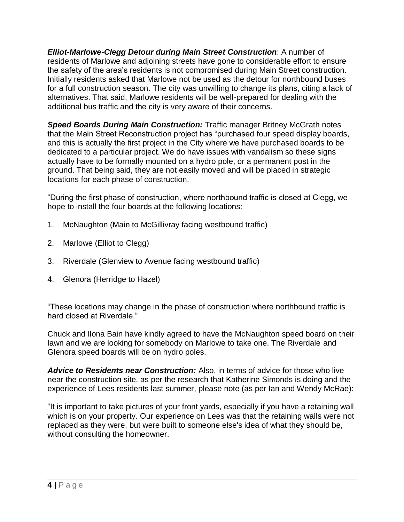*Elliot-Marlowe-Clegg Detour during Main Street Construction*: A number of residents of Marlowe and adjoining streets have gone to considerable effort to ensure the safety of the area's residents is not compromised during Main Street construction. Initially residents asked that Marlowe not be used as the detour for northbound buses for a full construction season. The city was unwilling to change its plans, citing a lack of alternatives. That said, Marlowe residents will be well-prepared for dealing with the additional bus traffic and the city is very aware of their concerns.

*Speed Boards During Main Construction:* Traffic manager Britney McGrath notes that the Main Street Reconstruction project has "purchased four speed display boards, and this is actually the first project in the City where we have purchased boards to be dedicated to a particular project. We do have issues with vandalism so these signs actually have to be formally mounted on a hydro pole, or a permanent post in the ground. That being said, they are not easily moved and will be placed in strategic locations for each phase of construction.

"During the first phase of construction, where northbound traffic is closed at Clegg, we hope to install the four boards at the following locations:

- 1. McNaughton (Main to McGillivray facing westbound traffic)
- 2. Marlowe (Elliot to Clegg)
- 3. Riverdale (Glenview to Avenue facing westbound traffic)
- 4. Glenora (Herridge to Hazel)

"These locations may change in the phase of construction where northbound traffic is hard closed at Riverdale."

Chuck and Ilona Bain have kindly agreed to have the McNaughton speed board on their lawn and we are looking for somebody on Marlowe to take one. The Riverdale and Glenora speed boards will be on hydro poles.

*Advice to Residents near Construction:* Also, in terms of advice for those who live near the construction site, as per the research that Katherine Simonds is doing and the experience of Lees residents last summer, please note (as per Ian and Wendy McRae):

"It is important to take pictures of your front yards, especially if you have a retaining wall which is on your property. Our experience on Lees was that the retaining walls were not replaced as they were, but were built to someone else's idea of what they should be, without consulting the homeowner.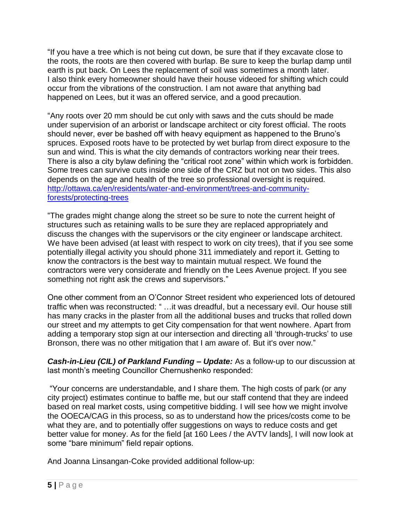"If you have a tree which is not being cut down, be sure that if they excavate close to the roots, the roots are then covered with burlap. Be sure to keep the burlap damp until earth is put back. On Lees the replacement of soil was sometimes a month later. I also think every homeowner should have their house videoed for shifting which could occur from the vibrations of the construction. I am not aware that anything bad happened on Lees, but it was an offered service, and a good precaution.

"Any roots over 20 mm should be cut only with saws and the cuts should be made under supervision of an arborist or landscape architect or city forest official. The roots should never, ever be bashed off with heavy equipment as happened to the Bruno's spruces. Exposed roots have to be protected by wet burlap from direct exposure to the sun and wind. This is what the city demands of contractors working near their trees. There is also a city bylaw defining the "critical root zone" within which work is forbidden. Some trees can survive cuts inside one side of the CRZ but not on two sides. This also depends on the age and health of the tree so professional oversight is required. [http://ottawa.ca/en/residents/water-and-environment/trees-and-community](http://ottawa.ca/en/residents/water-and-environment/trees-and-community-forests/protecting-trees)[forests/protecting-trees](http://ottawa.ca/en/residents/water-and-environment/trees-and-community-forests/protecting-trees)

"The grades might change along the street so be sure to note the current height of structures such as retaining walls to be sure they are replaced appropriately and discuss the changes with the supervisors or the city engineer or landscape architect. We have been advised (at least with respect to work on city trees), that if you see some potentially illegal activity you should phone 311 immediately and report it. Getting to know the contractors is the best way to maintain mutual respect. We found the contractors were very considerate and friendly on the Lees Avenue project. If you see something not right ask the crews and supervisors."

One other comment from an O'Connor Street resident who experienced lots of detoured traffic when was reconstructed: " …it was dreadful, but a necessary evil. Our house still has many cracks in the plaster from all the additional buses and trucks that rolled down our street and my attempts to get City compensation for that went nowhere. Apart from adding a temporary stop sign at our intersection and directing all 'through-trucks' to use Bronson, there was no other mitigation that I am aware of. But it's over now."

*Cash-in-Lieu (CIL) of Parkland Funding – Update:* As a follow-up to our discussion at last month's meeting Councillor Chernushenko responded:

"Your concerns are understandable, and I share them. The high costs of park (or any city project) estimates continue to baffle me, but our staff contend that they are indeed based on real market costs, using competitive bidding. I will see how we might involve the OOECA/CAG in this process, so as to understand how the prices/costs come to be what they are, and to potentially offer suggestions on ways to reduce costs and get better value for money. As for the field [at 160 Lees / the AVTV lands], I will now look at some "bare minimum" field repair options.

And Joanna Linsangan-Coke provided additional follow-up: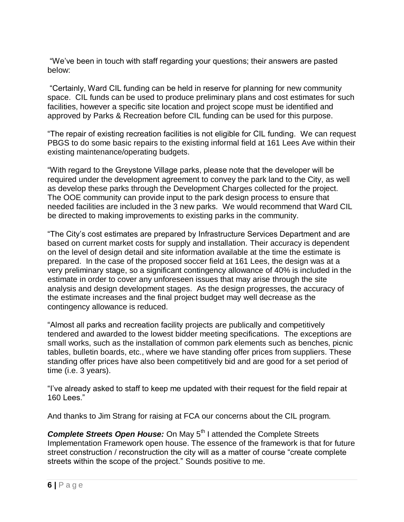"We've been in touch with staff regarding your questions; their answers are pasted below:

"Certainly, Ward CIL funding can be held in reserve for planning for new community space. CIL funds can be used to produce preliminary plans and cost estimates for such facilities, however a specific site location and project scope must be identified and approved by Parks & Recreation before CIL funding can be used for this purpose.

"The repair of existing recreation facilities is not eligible for CIL funding. We can request PBGS to do some basic repairs to the existing informal field at 161 Lees Ave within their existing maintenance/operating budgets.

"With regard to the Greystone Village parks, please note that the developer will be required under the development agreement to convey the park land to the City, as well as develop these parks through the Development Charges collected for the project. The OOE community can provide input to the park design process to ensure that needed facilities are included in the 3 new parks. We would recommend that Ward CIL be directed to making improvements to existing parks in the community.

"The City's cost estimates are prepared by Infrastructure Services Department and are based on current market costs for supply and installation. Their accuracy is dependent on the level of design detail and site information available at the time the estimate is prepared. In the case of the proposed soccer field at 161 Lees, the design was at a very preliminary stage, so a significant contingency allowance of 40% is included in the estimate in order to cover any unforeseen issues that may arise through the site analysis and design development stages. As the design progresses, the accuracy of the estimate increases and the final project budget may well decrease as the contingency allowance is reduced.

"Almost all parks and recreation facility projects are publically and competitively tendered and awarded to the lowest bidder meeting specifications. The exceptions are small works, such as the installation of common park elements such as benches, picnic tables, bulletin boards, etc., where we have standing offer prices from suppliers. These standing offer prices have also been competitively bid and are good for a set period of time (i.e. 3 years).

"I've already asked to staff to keep me updated with their request for the field repair at 160 Lees."

And thanks to Jim Strang for raising at FCA our concerns about the CIL program.

**Complete Streets Open House:** On May 5<sup>th</sup> I attended the Complete Streets Implementation Framework open house. The essence of the framework is that for future street construction / reconstruction the city will as a matter of course "create complete streets within the scope of the project." Sounds positive to me.